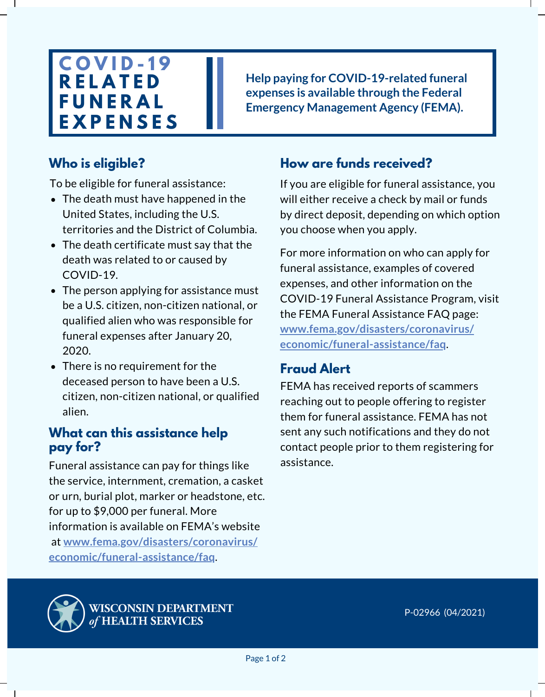# **C O V I D - 1 9 R E L A T E D F U N E R A L E X P E N S E S**

**Help paying for COVID-19-related funeral expenses is available through the Federal Emergency Management Agency (FEMA).**

## **Who is eligible?**

To be eligible for funeral assistance:

- The death must have happened in the United States, including the U.S. territories and the District of Columbia.
- The death certificate must say that the death was related to or caused by COVID-19.
- The person applying for assistance must be a U.S. citizen, non-citizen national, or qualified alien who was responsible for funeral expenses after January 20, 2020.
- There is no requirement for the deceased person to have been a U.S. citizen, non-citizen national, or qualified alien.

### **What can this assistance help pay for?**

Funeral assistance can pay for things like the service, internment, cremation, a casket or urn, burial plot, marker or headstone, etc. for up to \$9,000 per funeral. More information is available on FEMA's website at **[www.fema.gov/disasters/coronavirus/](https://www.fema.gov/disasters/coronavirus/economic/funeral-assistance/faq) economic/funeral-assistance/faq**.

## **How are funds received?**

If you are eligible for funeral assistance, you will either receive a check by mail or funds by direct deposit, depending on which option you choose when you apply.

**[economic/funeral-assistance/faq](http://www.fema.gov/disasters/coronavirus/%20economic/funeral-assistance/faq)**. For more information on who can apply for funeral assistance, examples of covered expenses, and other information on the COVID-19 Funeral Assistance Program, visit the FEMA Funeral Assistance FAQ page: **[www.fema.gov/disasters/coronavirus/](http://www.fema.gov/disasters/coronavirus/%20economic/funeral-assistance/faq)**

## **Fraud Alert**

FEMA has received reports of scammers reaching out to people offering to register them for funeral assistance. FEMA has not sent any such notifications and they do not contact people prior to them registering for assistance.



WISCONSIN DEPARTMENT of HEALTH SERVICES

P-02966 (04/2021)